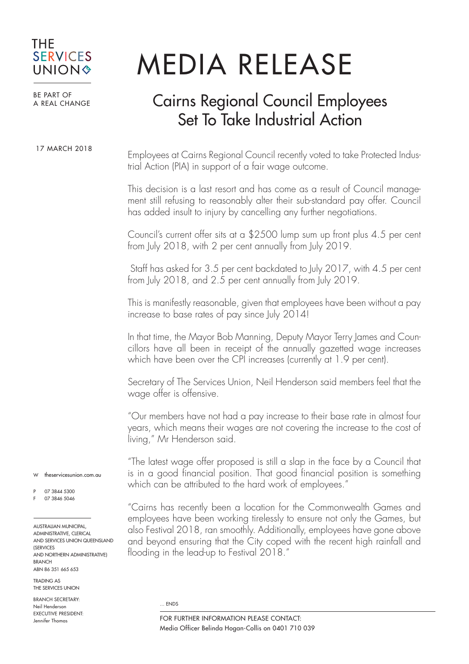## THE **SERVICES UNION&**

## MEDIA RELEASE

BE PART OF A REAL CHANGE

17 MARCH 2018

## Cairns Regional Council Employees Set To Take Industrial Action

Employees at Cairns Regional Council recently voted to take Protected Industrial Action (PIA) in support of a fair wage outcome.

This decision is a last resort and has come as a result of Council management still refusing to reasonably alter their sub-standard pay offer. Council has added insult to injury by cancelling any further negotiations.

Council's current offer sits at a \$2500 lump sum up front plus 4.5 per cent from July 2018, with 2 per cent annually from July 2019.

 Staff has asked for 3.5 per cent backdated to July 2017, with 4.5 per cent from July 2018, and 2.5 per cent annually from July 2019.

This is manifestly reasonable, given that employees have been without a pay increase to base rates of pay since July 2014!

In that time, the Mayor Bob Manning, Deputy Mayor Terry James and Councillors have all been in receipt of the annually gazetted wage increases which have been over the CPI increases (currently at 1.9 per cent).

Secretary of The Services Union, Neil Henderson said members feel that the wage offer is offensive.

"Our members have not had a pay increase to their base rate in almost four years, which means their wages are not covering the increase to the cost of living," Mr Henderson said.

"The latest wage offer proposed is still a slap in the face by a Council that is in a good financial position. That good financial position is something which can be attributed to the hard work of employees."

"Cairns has recently been a location for the Commonwealth Games and employees have been working tirelessly to ensure not only the Games, but also Festival 2018, ran smoothly. Additionally, employees have gone above and beyond ensuring that the City coped with the recent high rainfall and flooding in the lead-up to Festival 2018."

... ENDS

W theservicesunion.com.qu

P 07 3844 5300 F 07 3846 5046

AUSTRALIAN MUNICIPAL, ADMINISTRATIVE, CLERICAL AND SERVICES UNION QUEENSLAND **(SERVICES)** AND NORTHERN ADMINISTRATIVE) BRANCH ABN 86 351 665 653

TRADING AS THE SERVICES LINION

BRANCH SECRETARY: Neil Henderson EXECUTIVE PRESIDENT: Jennifer Thomas